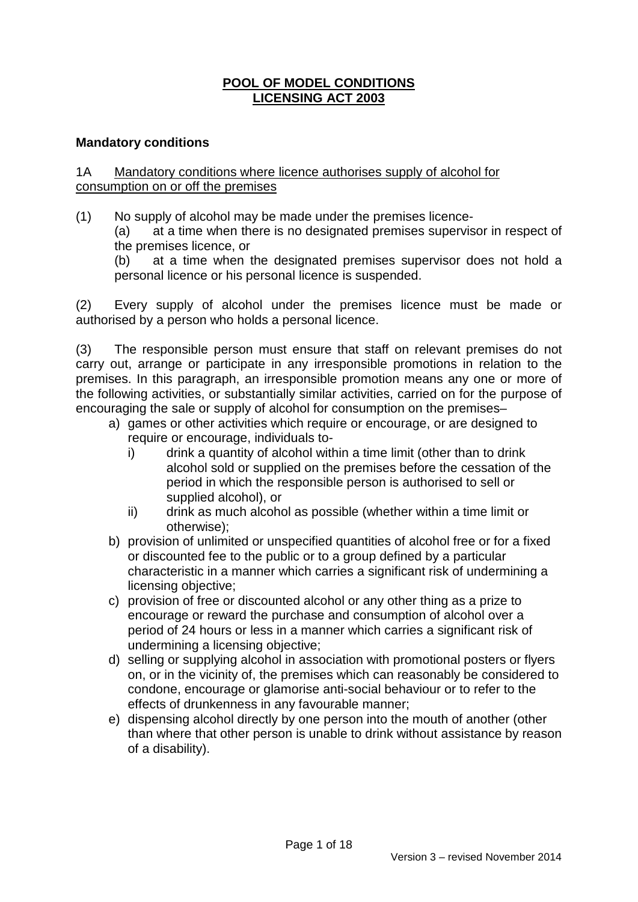# **POOL OF MODEL CONDITIONS LICENSING ACT 2003**

## **Mandatory conditions**

## 1A Mandatory conditions where licence authorises supply of alcohol for consumption on or off the premises

(1) No supply of alcohol may be made under the premises licence-

(a) at a time when there is no designated premises supervisor in respect of the premises licence, or

(b) at a time when the designated premises supervisor does not hold a personal licence or his personal licence is suspended.

(2) Every supply of alcohol under the premises licence must be made or authorised by a person who holds a personal licence.

(3) The responsible person must ensure that staff on relevant premises do not carry out, arrange or participate in any irresponsible promotions in relation to the premises. In this paragraph, an irresponsible promotion means any one or more of the following activities, or substantially similar activities, carried on for the purpose of encouraging the sale or supply of alcohol for consumption on the premises–

- a) games or other activities which require or encourage, or are designed to require or encourage, individuals to
	- i) drink a quantity of alcohol within a time limit (other than to drink alcohol sold or supplied on the premises before the cessation of the period in which the responsible person is authorised to sell or supplied alcohol), or
	- ii) drink as much alcohol as possible (whether within a time limit or otherwise);
- b) provision of unlimited or unspecified quantities of alcohol free or for a fixed or discounted fee to the public or to a group defined by a particular characteristic in a manner which carries a significant risk of undermining a licensing objective;
- c) provision of free or discounted alcohol or any other thing as a prize to encourage or reward the purchase and consumption of alcohol over a period of 24 hours or less in a manner which carries a significant risk of undermining a licensing objective;
- d) selling or supplying alcohol in association with promotional posters or flyers on, or in the vicinity of, the premises which can reasonably be considered to condone, encourage or glamorise anti-social behaviour or to refer to the effects of drunkenness in any favourable manner;
- e) dispensing alcohol directly by one person into the mouth of another (other than where that other person is unable to drink without assistance by reason of a disability).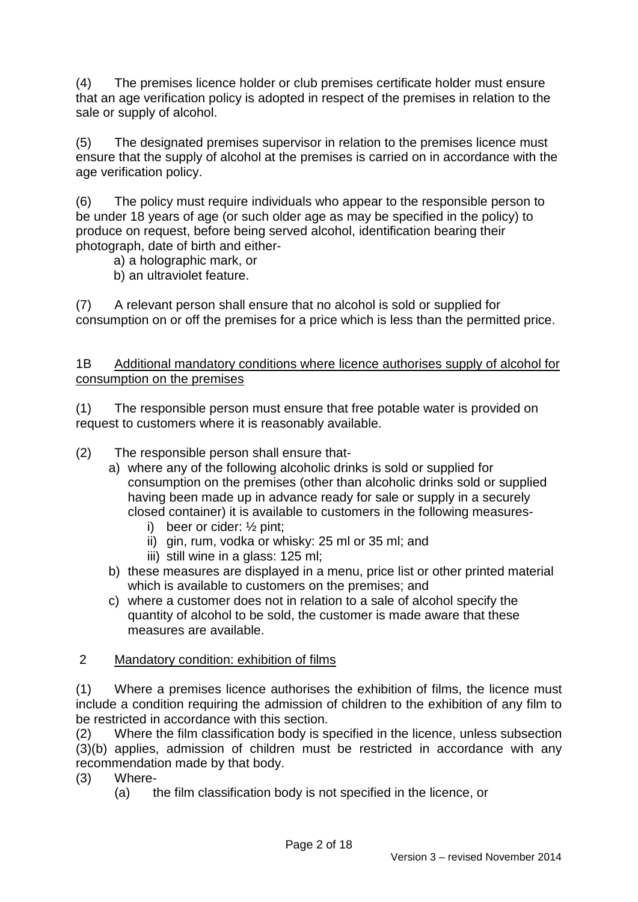(4) The premises licence holder or club premises certificate holder must ensure that an age verification policy is adopted in respect of the premises in relation to the sale or supply of alcohol.

(5) The designated premises supervisor in relation to the premises licence must ensure that the supply of alcohol at the premises is carried on in accordance with the age verification policy.

(6) The policy must require individuals who appear to the responsible person to be under 18 years of age (or such older age as may be specified in the policy) to produce on request, before being served alcohol, identification bearing their photograph, date of birth and either-

- a) a holographic mark, or
- b) an ultraviolet feature.

(7) A relevant person shall ensure that no alcohol is sold or supplied for consumption on or off the premises for a price which is less than the permitted price.

1B Additional mandatory conditions where licence authorises supply of alcohol for consumption on the premises

(1) The responsible person must ensure that free potable water is provided on request to customers where it is reasonably available.

- (2) The responsible person shall ensure that
	- a) where any of the following alcoholic drinks is sold or supplied for consumption on the premises (other than alcoholic drinks sold or supplied having been made up in advance ready for sale or supply in a securely closed container) it is available to customers in the following measures
		- i) beer or cider: ½ pint;
		- ii) gin, rum, vodka or whisky: 25 ml or 35 ml; and
		- iii) still wine in a glass: 125 ml;
	- b) these measures are displayed in a menu, price list or other printed material which is available to customers on the premises; and
	- c) where a customer does not in relation to a sale of alcohol specify the quantity of alcohol to be sold, the customer is made aware that these measures are available.

## 2 Mandatory condition: exhibition of films

(1) Where a premises licence authorises the exhibition of films, the licence must include a condition requiring the admission of children to the exhibition of any film to be restricted in accordance with this section.

(2) Where the film classification body is specified in the licence, unless subsection (3)(b) applies, admission of children must be restricted in accordance with any recommendation made by that body.

- (3) Where-
	- (a) the film classification body is not specified in the licence, or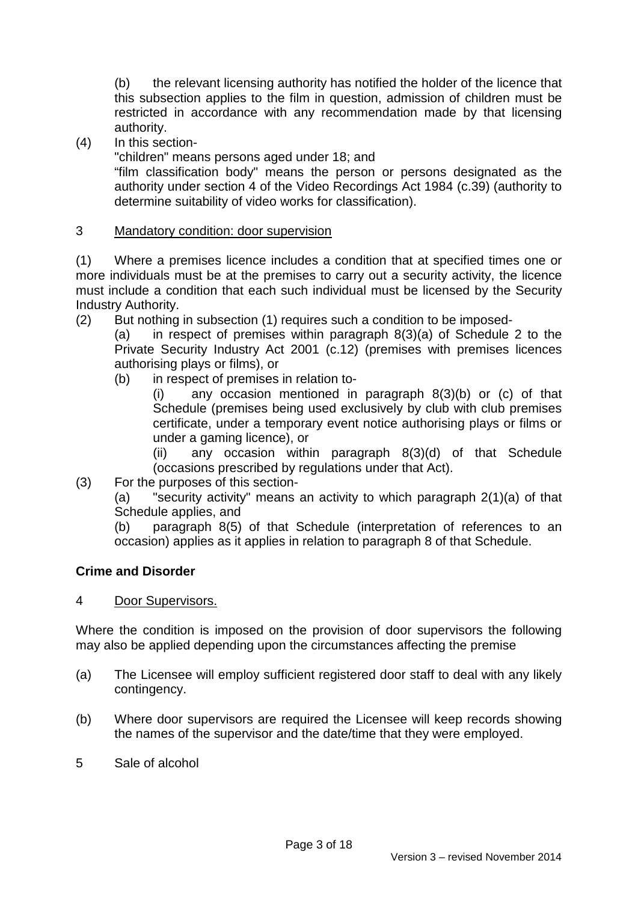(b) the relevant licensing authority has notified the holder of the licence that this subsection applies to the film in question, admission of children must be restricted in accordance with any recommendation made by that licensing authority.

(4) In this section-

"children" means persons aged under 18; and

 "film classification body" means the person or persons designated as the authority under section 4 of the Video Recordings Act 1984 (c.39) (authority to determine suitability of video works for classification).

# 3 Mandatory condition: door supervision

(1) Where a premises licence includes a condition that at specified times one or more individuals must be at the premises to carry out a security activity, the licence must include a condition that each such individual must be licensed by the Security Industry Authority.

- (2) But nothing in subsection (1) requires such a condition to be imposed-
	- (a) in respect of premises within paragraph 8(3)(a) of Schedule 2 to the Private Security Industry Act 2001 (c.12) (premises with premises licences authorising plays or films), or
		- (b) in respect of premises in relation to-

(i) any occasion mentioned in paragraph 8(3)(b) or (c) of that Schedule (premises being used exclusively by club with club premises certificate, under a temporary event notice authorising plays or films or under a gaming licence), or

(ii) any occasion within paragraph 8(3)(d) of that Schedule (occasions prescribed by regulations under that Act).

(3) For the purposes of this section-

(a) "security activity" means an activity to which paragraph 2(1)(a) of that Schedule applies, and

(b) paragraph 8(5) of that Schedule (interpretation of references to an occasion) applies as it applies in relation to paragraph 8 of that Schedule.

# **Crime and Disorder**

# 4 Door Supervisors.

Where the condition is imposed on the provision of door supervisors the following may also be applied depending upon the circumstances affecting the premise

- (a) The Licensee will employ sufficient registered door staff to deal with any likely contingency.
- (b) Where door supervisors are required the Licensee will keep records showing the names of the supervisor and the date/time that they were employed.
- 5 Sale of alcohol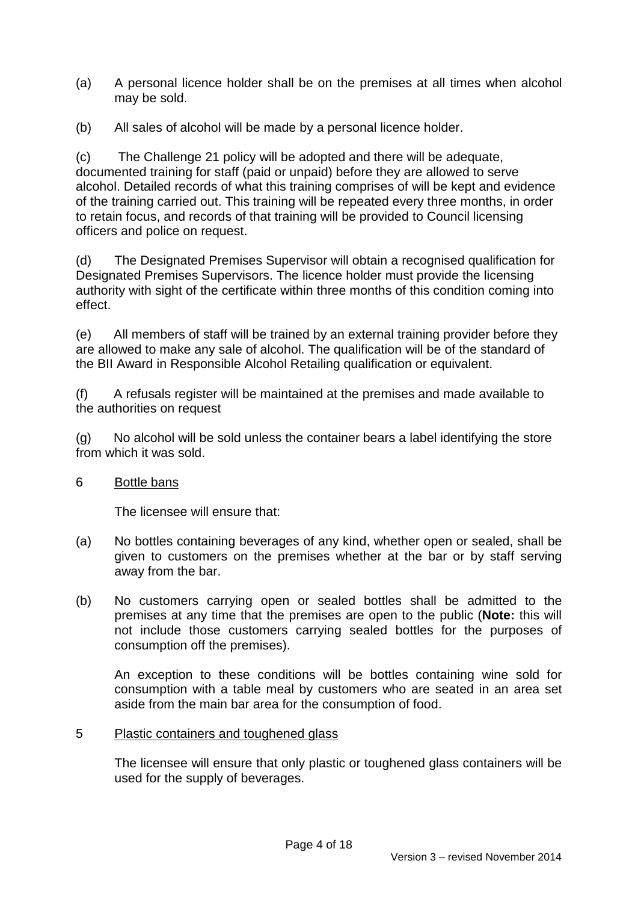- (a) A personal licence holder shall be on the premises at all times when alcohol may be sold.
- (b) All sales of alcohol will be made by a personal licence holder.

(c) The Challenge 21 policy will be adopted and there will be adequate, documented training for staff (paid or unpaid) before they are allowed to serve alcohol. Detailed records of what this training comprises of will be kept and evidence of the training carried out. This training will be repeated every three months, in order to retain focus, and records of that training will be provided to Council licensing officers and police on request.

(d) The Designated Premises Supervisor will obtain a recognised qualification for Designated Premises Supervisors. The licence holder must provide the licensing authority with sight of the certificate within three months of this condition coming into effect.

(e) All members of staff will be trained by an external training provider before they are allowed to make any sale of alcohol. The qualification will be of the standard of the BII Award in Responsible Alcohol Retailing qualification or equivalent.

(f) A refusals register will be maintained at the premises and made available to the authorities on request

(g) No alcohol will be sold unless the container bears a label identifying the store from which it was sold.

# 6 Bottle bans

The licensee will ensure that:

- (a) No bottles containing beverages of any kind, whether open or sealed, shall be given to customers on the premises whether at the bar or by staff serving away from the bar.
- (b) No customers carrying open or sealed bottles shall be admitted to the premises at any time that the premises are open to the public (**Note:** this will not include those customers carrying sealed bottles for the purposes of consumption off the premises).

An exception to these conditions will be bottles containing wine sold for consumption with a table meal by customers who are seated in an area set aside from the main bar area for the consumption of food.

## 5 Plastic containers and toughened glass

The licensee will ensure that only plastic or toughened glass containers will be used for the supply of beverages.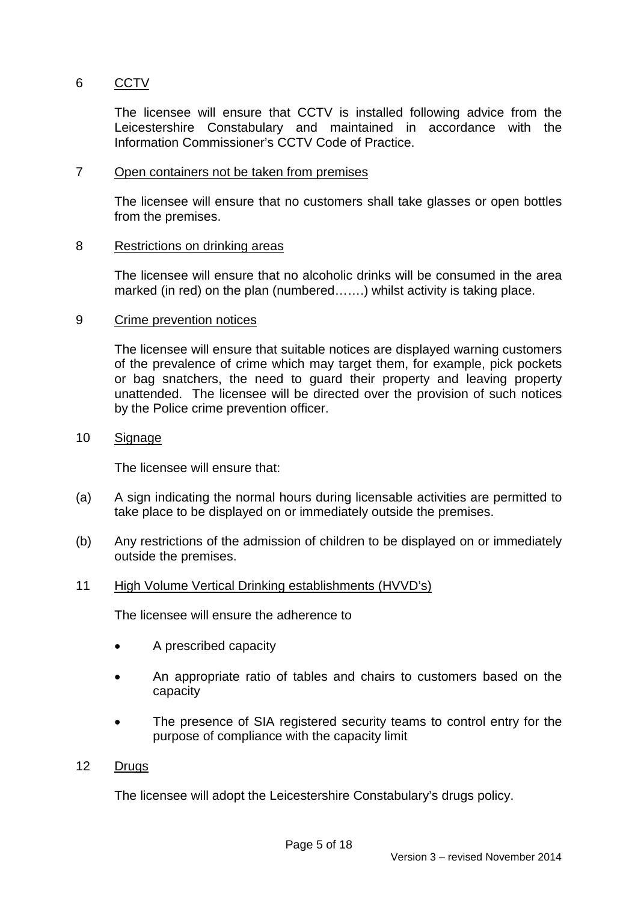# 6 CCTV

The licensee will ensure that CCTV is installed following advice from the Leicestershire Constabulary and maintained in accordance with the Information Commissioner's CCTV Code of Practice.

## 7 Open containers not be taken from premises

The licensee will ensure that no customers shall take glasses or open bottles from the premises.

### 8 Restrictions on drinking areas

The licensee will ensure that no alcoholic drinks will be consumed in the area marked (in red) on the plan (numbered…….) whilst activity is taking place.

### 9 Crime prevention notices

The licensee will ensure that suitable notices are displayed warning customers of the prevalence of crime which may target them, for example, pick pockets or bag snatchers, the need to guard their property and leaving property unattended. The licensee will be directed over the provision of such notices by the Police crime prevention officer.

### 10 Signage

The licensee will ensure that:

- (a) A sign indicating the normal hours during licensable activities are permitted to take place to be displayed on or immediately outside the premises.
- (b) Any restrictions of the admission of children to be displayed on or immediately outside the premises.

## 11 High Volume Vertical Drinking establishments (HVVD's)

The licensee will ensure the adherence to

- A prescribed capacity
- An appropriate ratio of tables and chairs to customers based on the capacity
- The presence of SIA registered security teams to control entry for the purpose of compliance with the capacity limit

### 12 Drugs

The licensee will adopt the Leicestershire Constabulary's drugs policy.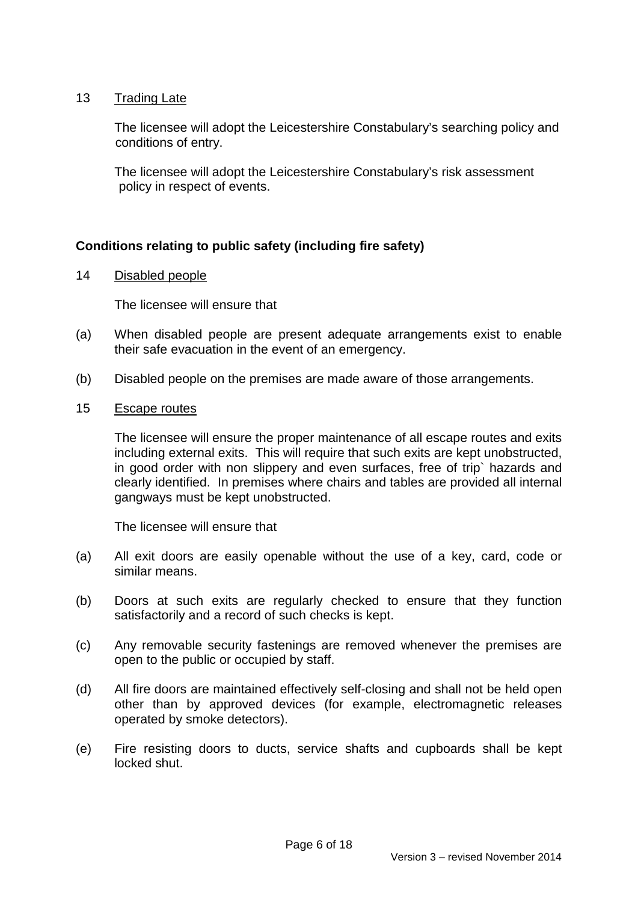## 13 Trading Late

The licensee will adopt the Leicestershire Constabulary's searching policy and conditions of entry.

The licensee will adopt the Leicestershire Constabulary's risk assessment policy in respect of events.

# **Conditions relating to public safety (including fire safety)**

14 Disabled people

The licensee will ensure that

- (a) When disabled people are present adequate arrangements exist to enable their safe evacuation in the event of an emergency.
- (b) Disabled people on the premises are made aware of those arrangements.
- 15 Escape routes

The licensee will ensure the proper maintenance of all escape routes and exits including external exits. This will require that such exits are kept unobstructed, in good order with non slippery and even surfaces, free of trip` hazards and clearly identified. In premises where chairs and tables are provided all internal gangways must be kept unobstructed.

The licensee will ensure that

- (a) All exit doors are easily openable without the use of a key, card, code or similar means.
- (b) Doors at such exits are regularly checked to ensure that they function satisfactorily and a record of such checks is kept.
- (c) Any removable security fastenings are removed whenever the premises are open to the public or occupied by staff.
- (d) All fire doors are maintained effectively self-closing and shall not be held open other than by approved devices (for example, electromagnetic releases operated by smoke detectors).
- (e) Fire resisting doors to ducts, service shafts and cupboards shall be kept locked shut.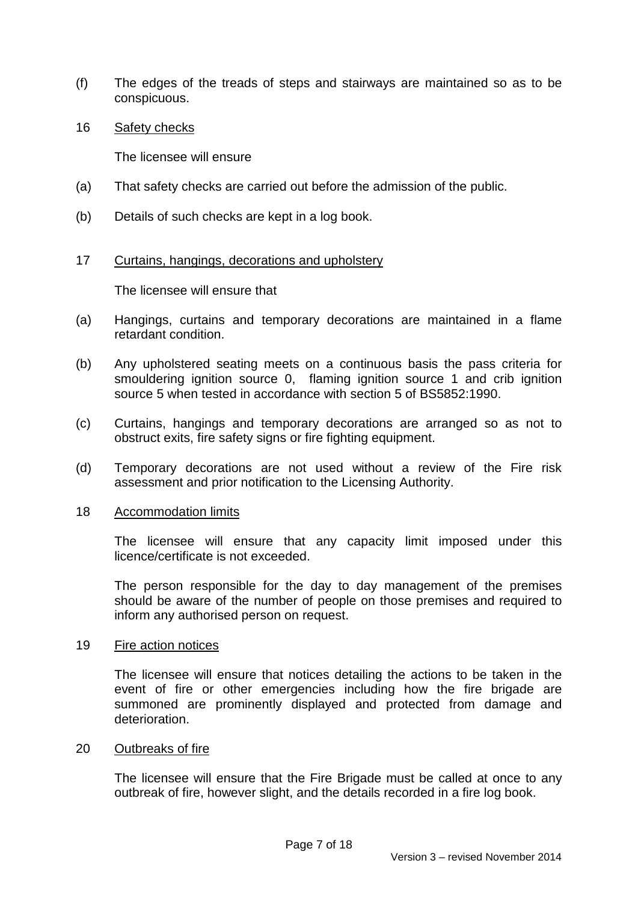- (f) The edges of the treads of steps and stairways are maintained so as to be conspicuous.
- 16 Safety checks

The licensee will ensure

- (a) That safety checks are carried out before the admission of the public.
- (b) Details of such checks are kept in a log book.

### 17 Curtains, hangings, decorations and upholstery

The licensee will ensure that

- (a) Hangings, curtains and temporary decorations are maintained in a flame retardant condition.
- (b) Any upholstered seating meets on a continuous basis the pass criteria for smouldering ignition source 0, flaming ignition source 1 and crib ignition source 5 when tested in accordance with section 5 of BS5852:1990.
- (c) Curtains, hangings and temporary decorations are arranged so as not to obstruct exits, fire safety signs or fire fighting equipment.
- (d) Temporary decorations are not used without a review of the Fire risk assessment and prior notification to the Licensing Authority.

### 18 Accommodation limits

The licensee will ensure that any capacity limit imposed under this licence/certificate is not exceeded.

The person responsible for the day to day management of the premises should be aware of the number of people on those premises and required to inform any authorised person on request.

### 19 Fire action notices

The licensee will ensure that notices detailing the actions to be taken in the event of fire or other emergencies including how the fire brigade are summoned are prominently displayed and protected from damage and deterioration.

### 20 Outbreaks of fire

The licensee will ensure that the Fire Brigade must be called at once to any outbreak of fire, however slight, and the details recorded in a fire log book.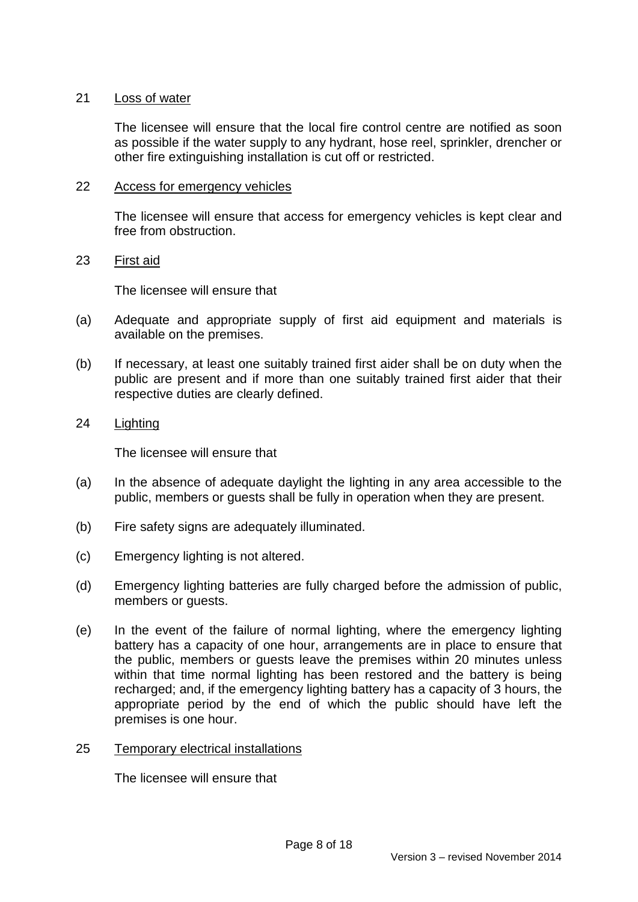## 21 Loss of water

The licensee will ensure that the local fire control centre are notified as soon as possible if the water supply to any hydrant, hose reel, sprinkler, drencher or other fire extinguishing installation is cut off or restricted.

### 22 Access for emergency vehicles

The licensee will ensure that access for emergency vehicles is kept clear and free from obstruction.

### 23 First aid

The licensee will ensure that

- (a) Adequate and appropriate supply of first aid equipment and materials is available on the premises.
- (b) If necessary, at least one suitably trained first aider shall be on duty when the public are present and if more than one suitably trained first aider that their respective duties are clearly defined.
- 24 Lighting

The licensee will ensure that

- (a) In the absence of adequate daylight the lighting in any area accessible to the public, members or guests shall be fully in operation when they are present.
- (b) Fire safety signs are adequately illuminated.
- (c) Emergency lighting is not altered.
- (d) Emergency lighting batteries are fully charged before the admission of public, members or guests.
- (e) In the event of the failure of normal lighting, where the emergency lighting battery has a capacity of one hour, arrangements are in place to ensure that the public, members or guests leave the premises within 20 minutes unless within that time normal lighting has been restored and the battery is being recharged; and, if the emergency lighting battery has a capacity of 3 hours, the appropriate period by the end of which the public should have left the premises is one hour.
- 25 Temporary electrical installations

The licensee will ensure that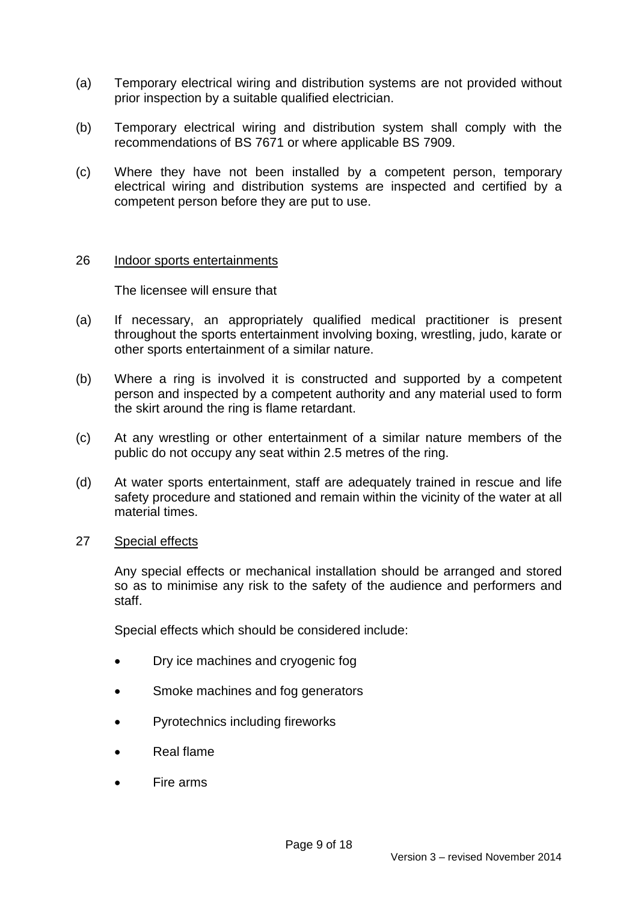- (a) Temporary electrical wiring and distribution systems are not provided without prior inspection by a suitable qualified electrician.
- (b) Temporary electrical wiring and distribution system shall comply with the recommendations of BS 7671 or where applicable BS 7909.
- (c) Where they have not been installed by a competent person, temporary electrical wiring and distribution systems are inspected and certified by a competent person before they are put to use.

### 26 Indoor sports entertainments

The licensee will ensure that

- (a) If necessary, an appropriately qualified medical practitioner is present throughout the sports entertainment involving boxing, wrestling, judo, karate or other sports entertainment of a similar nature.
- (b) Where a ring is involved it is constructed and supported by a competent person and inspected by a competent authority and any material used to form the skirt around the ring is flame retardant.
- (c) At any wrestling or other entertainment of a similar nature members of the public do not occupy any seat within 2.5 metres of the ring.
- (d) At water sports entertainment, staff are adequately trained in rescue and life safety procedure and stationed and remain within the vicinity of the water at all material times.

### 27 Special effects

Any special effects or mechanical installation should be arranged and stored so as to minimise any risk to the safety of the audience and performers and staff.

Special effects which should be considered include:

- Dry ice machines and cryogenic fog
- Smoke machines and fog generators
- Pyrotechnics including fireworks
- Real flame
- Fire arms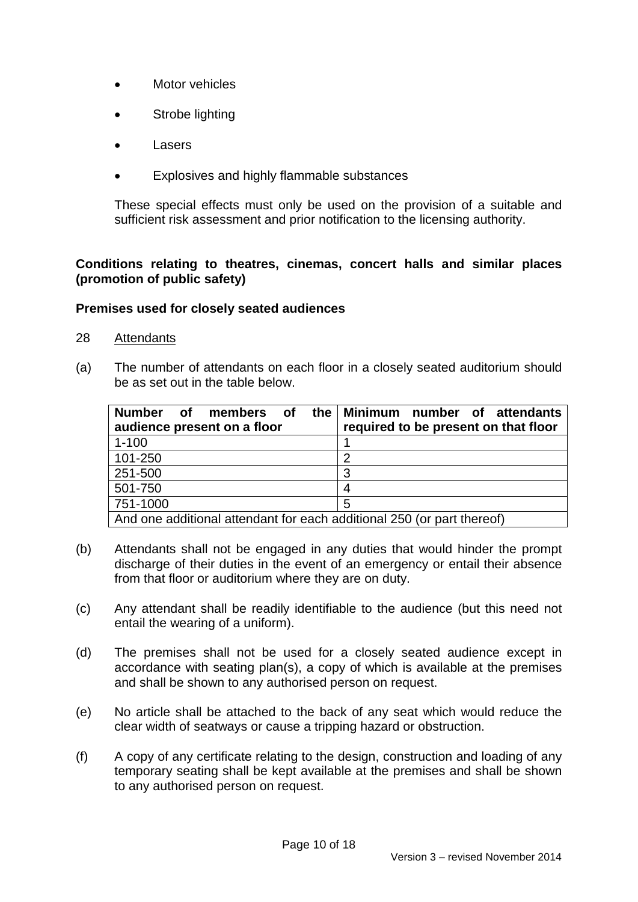- Motor vehicles
- Strobe lighting
- Lasers
- Explosives and highly flammable substances

These special effects must only be used on the provision of a suitable and sufficient risk assessment and prior notification to the licensing authority.

# **Conditions relating to theatres, cinemas, concert halls and similar places (promotion of public safety)**

## **Premises used for closely seated audiences**

- 28 Attendants
- (a) The number of attendants on each floor in a closely seated auditorium should be as set out in the table below.

| the<br><b>Number</b><br>of <b>o</b><br>members of<br>audience present on a floor | Minimum number of attendants<br>required to be present on that floor |  |  |  |
|----------------------------------------------------------------------------------|----------------------------------------------------------------------|--|--|--|
| $1 - 100$                                                                        |                                                                      |  |  |  |
| 101-250                                                                          | 2                                                                    |  |  |  |
| 251-500                                                                          | 3                                                                    |  |  |  |
| 501-750                                                                          | 4                                                                    |  |  |  |
| 751-1000                                                                         | 5                                                                    |  |  |  |
| And one additional attendant for each additional 250 (or part thereof)           |                                                                      |  |  |  |

- (b) Attendants shall not be engaged in any duties that would hinder the prompt discharge of their duties in the event of an emergency or entail their absence from that floor or auditorium where they are on duty.
- (c) Any attendant shall be readily identifiable to the audience (but this need not entail the wearing of a uniform).
- (d) The premises shall not be used for a closely seated audience except in accordance with seating plan(s), a copy of which is available at the premises and shall be shown to any authorised person on request.
- (e) No article shall be attached to the back of any seat which would reduce the clear width of seatways or cause a tripping hazard or obstruction.
- (f) A copy of any certificate relating to the design, construction and loading of any temporary seating shall be kept available at the premises and shall be shown to any authorised person on request.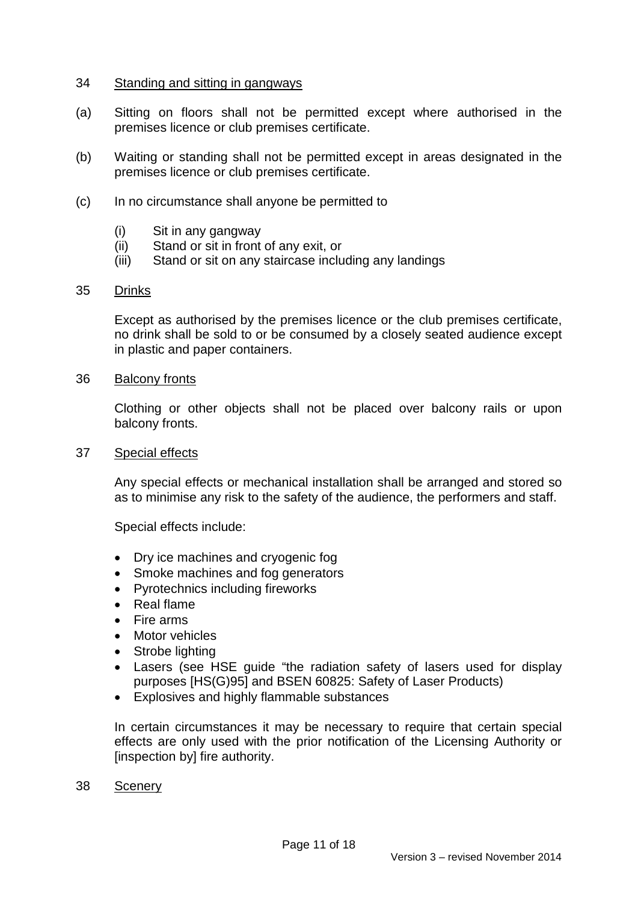### 34 Standing and sitting in gangways

- (a) Sitting on floors shall not be permitted except where authorised in the premises licence or club premises certificate.
- (b) Waiting or standing shall not be permitted except in areas designated in the premises licence or club premises certificate.
- (c) In no circumstance shall anyone be permitted to
	- (i) Sit in any gangway
	- (ii) Stand or sit in front of any exit, or
	- (iii) Stand or sit on any staircase including any landings

### 35 Drinks

Except as authorised by the premises licence or the club premises certificate, no drink shall be sold to or be consumed by a closely seated audience except in plastic and paper containers.

### 36 Balcony fronts

Clothing or other objects shall not be placed over balcony rails or upon balcony fronts.

37 Special effects

Any special effects or mechanical installation shall be arranged and stored so as to minimise any risk to the safety of the audience, the performers and staff.

Special effects include:

- Dry ice machines and cryogenic fog
- Smoke machines and fog generators
- Pyrotechnics including fireworks
- Real flame
- Fire arms
- Motor vehicles
- Strobe lighting
- Lasers (see HSE guide "the radiation safety of lasers used for display purposes [HS(G)95] and BSEN 60825: Safety of Laser Products)
- Explosives and highly flammable substances

In certain circumstances it may be necessary to require that certain special effects are only used with the prior notification of the Licensing Authority or [inspection by] fire authority.

38 Scenery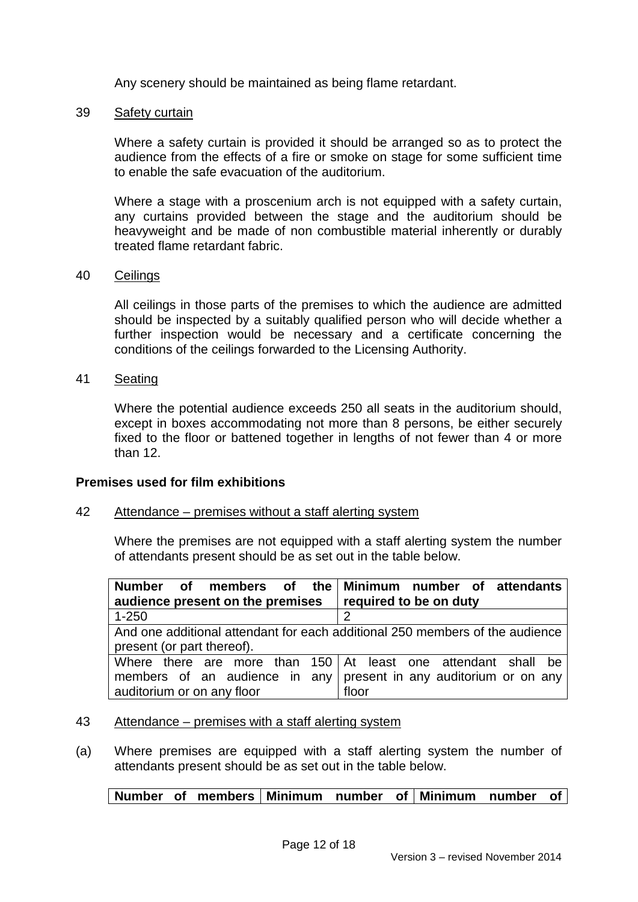Any scenery should be maintained as being flame retardant.

### 39 Safety curtain

Where a safety curtain is provided it should be arranged so as to protect the audience from the effects of a fire or smoke on stage for some sufficient time to enable the safe evacuation of the auditorium.

Where a stage with a proscenium arch is not equipped with a safety curtain, any curtains provided between the stage and the auditorium should be heavyweight and be made of non combustible material inherently or durably treated flame retardant fabric.

### 40 Ceilings

All ceilings in those parts of the premises to which the audience are admitted should be inspected by a suitably qualified person who will decide whether a further inspection would be necessary and a certificate concerning the conditions of the ceilings forwarded to the Licensing Authority.

41 Seating

Where the potential audience exceeds 250 all seats in the auditorium should, except in boxes accommodating not more than 8 persons, be either securely fixed to the floor or battened together in lengths of not fewer than 4 or more than 12.

### **Premises used for film exhibitions**

## 42 Attendance – premises without a staff alerting system

Where the premises are not equipped with a staff alerting system the number of attendants present should be as set out in the table below.

| Number of members of the Minimum number of attendants                        |  |  |  |  |  |       |  |  |  |  |  |
|------------------------------------------------------------------------------|--|--|--|--|--|-------|--|--|--|--|--|
| audience present on the premises   required to be on duty                    |  |  |  |  |  |       |  |  |  |  |  |
| $1 - 250$                                                                    |  |  |  |  |  | 2     |  |  |  |  |  |
| And one additional attendant for each additional 250 members of the audience |  |  |  |  |  |       |  |  |  |  |  |
| present (or part thereof).                                                   |  |  |  |  |  |       |  |  |  |  |  |
| Where there are more than 150 At least one attendant shall be                |  |  |  |  |  |       |  |  |  |  |  |
| members of an audience in any present in any auditorium or on any            |  |  |  |  |  |       |  |  |  |  |  |
| auditorium or on any floor                                                   |  |  |  |  |  | floor |  |  |  |  |  |

### 43 Attendance – premises with a staff alerting system

(a) Where premises are equipped with a staff alerting system the number of attendants present should be as set out in the table below.

## **Number of members Minimum number of Minimum number of**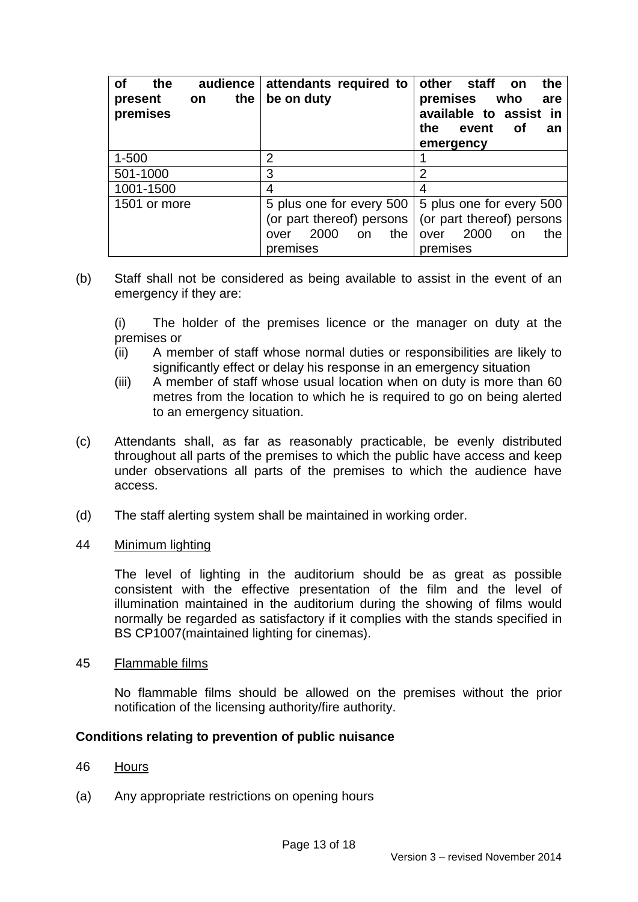| οf<br>the<br>the<br>present<br><b>on</b><br>premises | audience   attendants required to<br>be on duty                                             | the<br>other<br>staff<br>on<br>premises who<br>are<br>available to assist in<br>the<br>event<br>Οf<br>an<br>emergency |
|------------------------------------------------------|---------------------------------------------------------------------------------------------|-----------------------------------------------------------------------------------------------------------------------|
| $1 - 500$                                            | $\overline{2}$                                                                              |                                                                                                                       |
| 501-1000                                             | 3                                                                                           | $\overline{2}$                                                                                                        |
| 1001-1500                                            | 4                                                                                           | 4                                                                                                                     |
| 1501 or more                                         | 5 plus one for every 500  <br>(or part thereof) persons<br>2000<br>the<br><b>on</b><br>over | 5 plus one for every 500<br>(or part thereof) persons<br>2000<br>the<br>over<br>on                                    |
|                                                      | premises                                                                                    | premises                                                                                                              |

(b) Staff shall not be considered as being available to assist in the event of an emergency if they are:

(i) The holder of the premises licence or the manager on duty at the premises or

- (ii) A member of staff whose normal duties or responsibilities are likely to significantly effect or delay his response in an emergency situation
- (iii) A member of staff whose usual location when on duty is more than 60 metres from the location to which he is required to go on being alerted to an emergency situation.
- (c) Attendants shall, as far as reasonably practicable, be evenly distributed throughout all parts of the premises to which the public have access and keep under observations all parts of the premises to which the audience have access.
- (d) The staff alerting system shall be maintained in working order.
- 44 Minimum lighting

The level of lighting in the auditorium should be as great as possible consistent with the effective presentation of the film and the level of illumination maintained in the auditorium during the showing of films would normally be regarded as satisfactory if it complies with the stands specified in BS CP1007(maintained lighting for cinemas).

45 Flammable films

No flammable films should be allowed on the premises without the prior notification of the licensing authority/fire authority.

## **Conditions relating to prevention of public nuisance**

- 46 Hours
- (a) Any appropriate restrictions on opening hours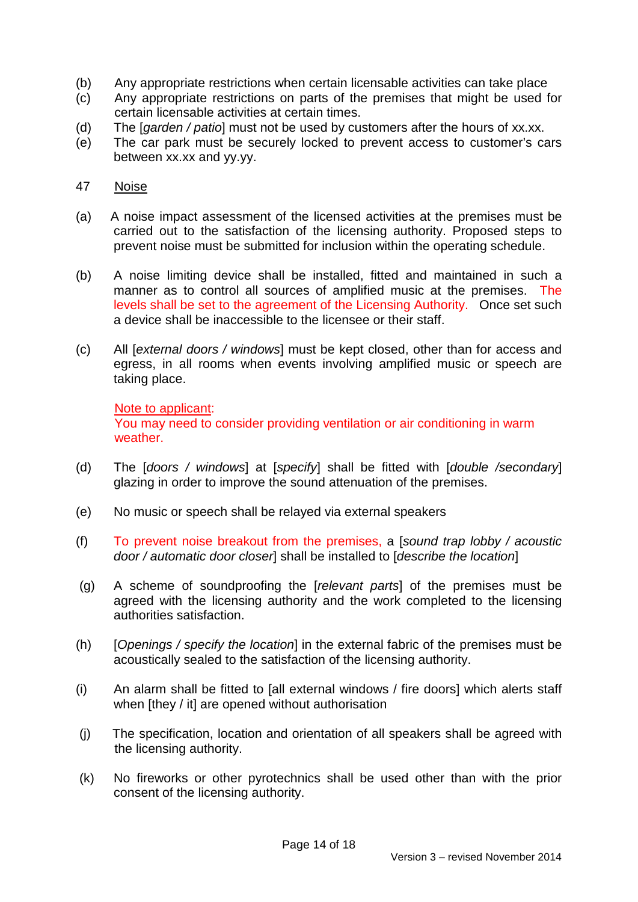- (b) Any appropriate restrictions when certain licensable activities can take place
- (c) Any appropriate restrictions on parts of the premises that might be used for certain licensable activities at certain times.
- (d) The [*garden / patio*] must not be used by customers after the hours of xx.xx.
- (e) The car park must be securely locked to prevent access to customer's cars between xx.xx and yy.yy.

## 47 Noise

- (a) A noise impact assessment of the licensed activities at the premises must be carried out to the satisfaction of the licensing authority. Proposed steps to prevent noise must be submitted for inclusion within the operating schedule.
- (b) A noise limiting device shall be installed, fitted and maintained in such a manner as to control all sources of amplified music at the premises. The levels shall be set to the agreement of the Licensing Authority. Once set such a device shall be inaccessible to the licensee or their staff.
- (c) All [*external doors / windows*] must be kept closed, other than for access and egress, in all rooms when events involving amplified music or speech are taking place.

## Note to applicant:

You may need to consider providing ventilation or air conditioning in warm weather.

- (d) The [*doors / windows*] at [*specify*] shall be fitted with [*double /secondary*] glazing in order to improve the sound attenuation of the premises.
- (e) No music or speech shall be relayed via external speakers
- (f) To prevent noise breakout from the premises, a [*sound trap lobby / acoustic door / automatic door closer*] shall be installed to [*describe the location*]
- (g) A scheme of soundproofing the [*relevant parts*] of the premises must be agreed with the licensing authority and the work completed to the licensing authorities satisfaction.
- (h) [*Openings / specify the location*] in the external fabric of the premises must be acoustically sealed to the satisfaction of the licensing authority.
- (i) An alarm shall be fitted to [all external windows / fire doors] which alerts staff when [they / it] are opened without authorisation
- (j) The specification, location and orientation of all speakers shall be agreed with the licensing authority.
- (k) No fireworks or other pyrotechnics shall be used other than with the prior consent of the licensing authority.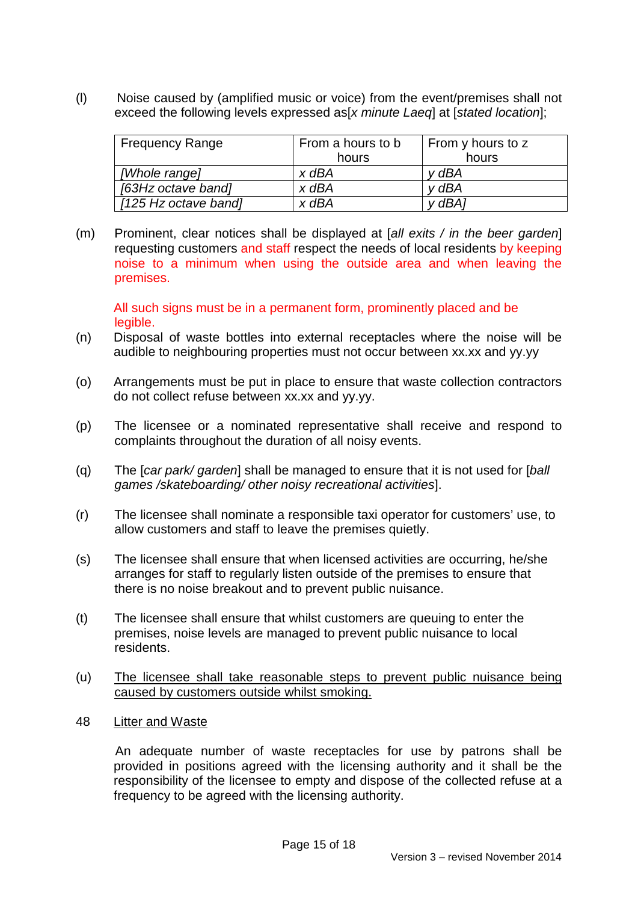(l) Noise caused by (amplified music or voice) from the event/premises shall not exceed the following levels expressed as[*x minute Laeq*] at [*stated location*];

| <b>Frequency Range</b> | From a hours to b | From y hours to z |
|------------------------|-------------------|-------------------|
|                        | hours             | hours             |
| [Whole range]          | x dBA             | v dBA             |
| [63Hz octave band]     | $x$ dBA           | v dBA             |
| [125 Hz octave band]   | $x$ dBA           | v dBA1            |

(m) Prominent, clear notices shall be displayed at [*all exits / in the beer garden*] requesting customers and staff respect the needs of local residents by keeping noise to a minimum when using the outside area and when leaving the premises.

All such signs must be in a permanent form, prominently placed and be legible.

- (n) Disposal of waste bottles into external receptacles where the noise will be audible to neighbouring properties must not occur between xx.xx and yy.yy
- (o) Arrangements must be put in place to ensure that waste collection contractors do not collect refuse between xx.xx and yy.yy.
- (p) The licensee or a nominated representative shall receive and respond to complaints throughout the duration of all noisy events.
- (q) The [*car park/ garden*] shall be managed to ensure that it is not used for [*ball games /skateboarding/ other noisy recreational activities*].
- (r) The licensee shall nominate a responsible taxi operator for customers' use, to allow customers and staff to leave the premises quietly.
- (s) The licensee shall ensure that when licensed activities are occurring, he/she arranges for staff to regularly listen outside of the premises to ensure that there is no noise breakout and to prevent public nuisance.
- (t) The licensee shall ensure that whilst customers are queuing to enter the premises, noise levels are managed to prevent public nuisance to local residents.
- (u) The licensee shall take reasonable steps to prevent public nuisance being caused by customers outside whilst smoking.
- 48 Litter and Waste

 An adequate number of waste receptacles for use by patrons shall be provided in positions agreed with the licensing authority and it shall be the responsibility of the licensee to empty and dispose of the collected refuse at a frequency to be agreed with the licensing authority.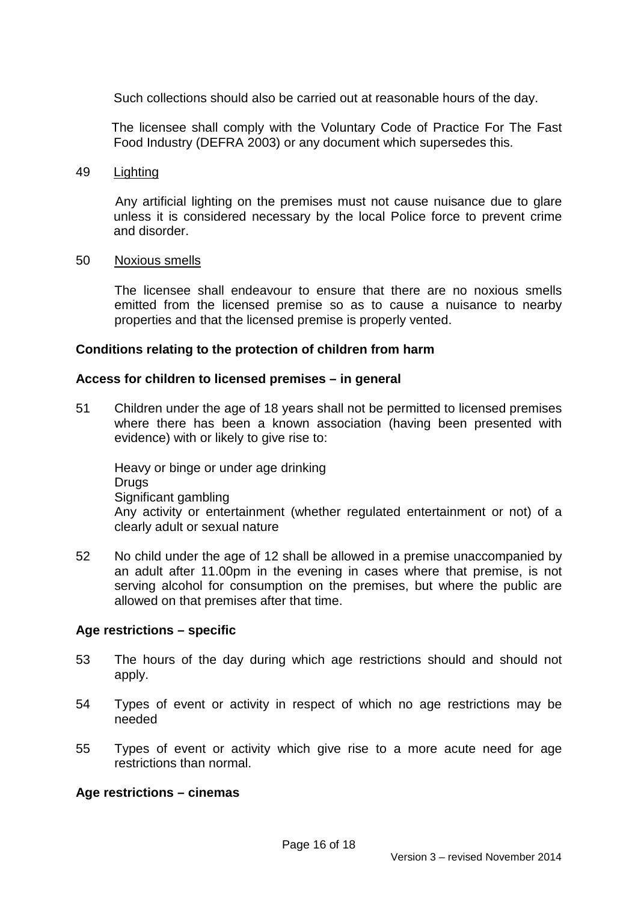Such collections should also be carried out at reasonable hours of the day.

 The licensee shall comply with the Voluntary Code of Practice For The Fast Food Industry (DEFRA 2003) or any document which supersedes this.

### 49 Lighting

 Any artificial lighting on the premises must not cause nuisance due to glare unless it is considered necessary by the local Police force to prevent crime and disorder.

#### 50 Noxious smells

The licensee shall endeavour to ensure that there are no noxious smells emitted from the licensed premise so as to cause a nuisance to nearby properties and that the licensed premise is properly vented.

### **Conditions relating to the protection of children from harm**

### **Access for children to licensed premises – in general**

51 Children under the age of 18 years shall not be permitted to licensed premises where there has been a known association (having been presented with evidence) with or likely to give rise to:

Heavy or binge or under age drinking **Drugs** Significant gambling Any activity or entertainment (whether regulated entertainment or not) of a clearly adult or sexual nature

52 No child under the age of 12 shall be allowed in a premise unaccompanied by an adult after 11.00pm in the evening in cases where that premise, is not serving alcohol for consumption on the premises, but where the public are allowed on that premises after that time.

### **Age restrictions – specific**

- 53 The hours of the day during which age restrictions should and should not apply.
- 54 Types of event or activity in respect of which no age restrictions may be needed
- 55 Types of event or activity which give rise to a more acute need for age restrictions than normal.

### **Age restrictions – cinemas**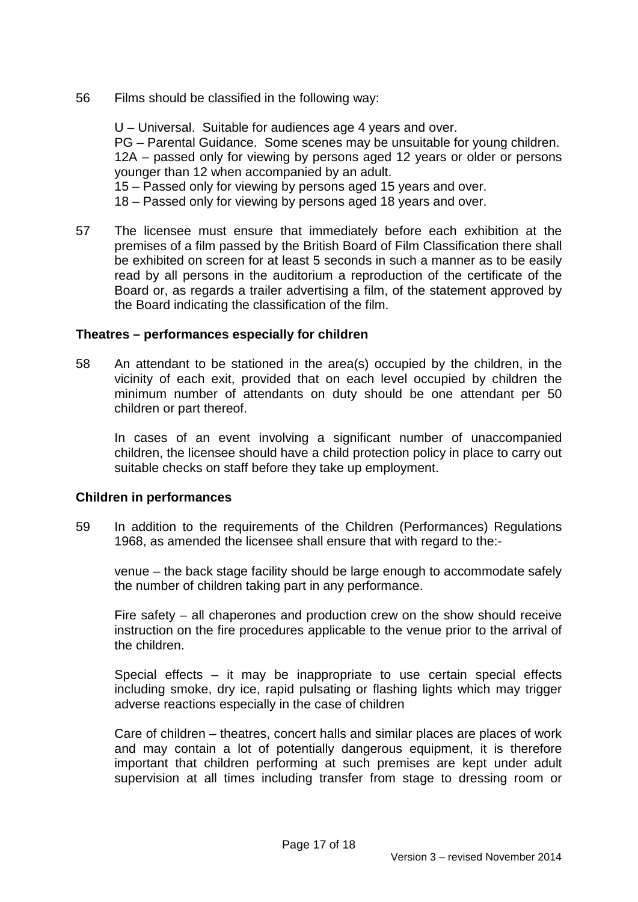56 Films should be classified in the following way:

U – Universal. Suitable for audiences age 4 years and over. PG – Parental Guidance. Some scenes may be unsuitable for young children. 12A – passed only for viewing by persons aged 12 years or older or persons younger than 12 when accompanied by an adult. 15 – Passed only for viewing by persons aged 15 years and over. 18 – Passed only for viewing by persons aged 18 years and over.

57 The licensee must ensure that immediately before each exhibition at the premises of a film passed by the British Board of Film Classification there shall be exhibited on screen for at least 5 seconds in such a manner as to be easily read by all persons in the auditorium a reproduction of the certificate of the Board or, as regards a trailer advertising a film, of the statement approved by the Board indicating the classification of the film.

### **Theatres – performances especially for children**

58 An attendant to be stationed in the area(s) occupied by the children, in the vicinity of each exit, provided that on each level occupied by children the minimum number of attendants on duty should be one attendant per 50 children or part thereof.

In cases of an event involving a significant number of unaccompanied children, the licensee should have a child protection policy in place to carry out suitable checks on staff before they take up employment.

### **Children in performances**

59 In addition to the requirements of the Children (Performances) Regulations 1968, as amended the licensee shall ensure that with regard to the:-

venue – the back stage facility should be large enough to accommodate safely the number of children taking part in any performance.

Fire safety – all chaperones and production crew on the show should receive instruction on the fire procedures applicable to the venue prior to the arrival of the children.

Special effects – it may be inappropriate to use certain special effects including smoke, dry ice, rapid pulsating or flashing lights which may trigger adverse reactions especially in the case of children

Care of children – theatres, concert halls and similar places are places of work and may contain a lot of potentially dangerous equipment, it is therefore important that children performing at such premises are kept under adult supervision at all times including transfer from stage to dressing room or